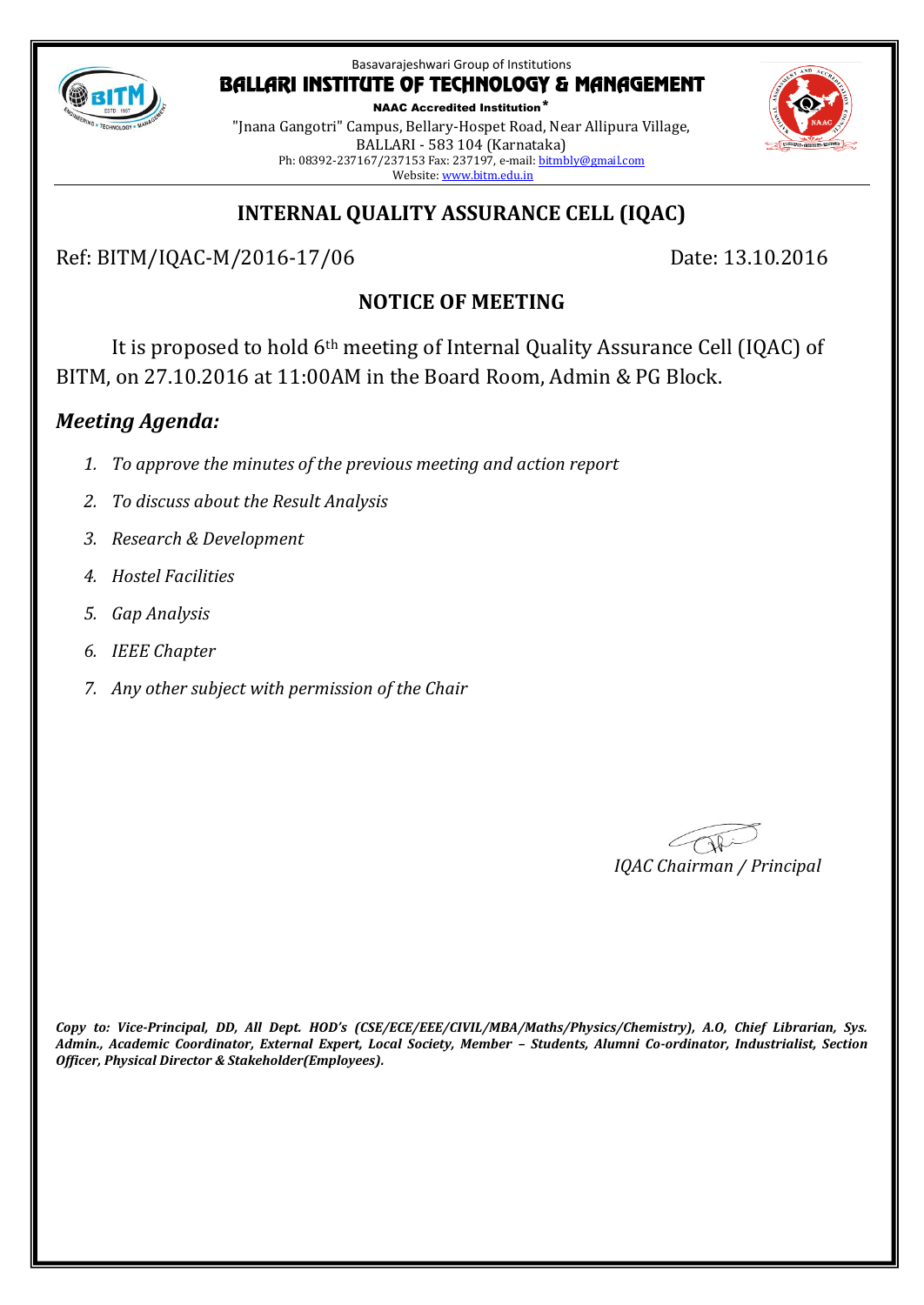

NAAC Accredited Institution\* "Jnana Gangotri" Campus, Bellary-Hospet Road, Near Allipura Village, BALLARI - 583 104 (Karnataka) Ph: 08392-237167/237153 Fax: 237197, e-mail[: bitmbly@gmail.com](mailto:bitmbly@gmail.com) Website[: www.bitm.edu.in](http://www.bec-bellary.com/)

## **INTERNAL QUALITY ASSURANCE CELL (IQAC)**

Ref: BITM/IQAC-M/2016-17/06 Date: 13.10.2016

## **NOTICE OF MEETING**

It is proposed to hold 6th meeting of Internal Quality Assurance Cell (IQAC) of BITM, on 27.10.2016 at 11:00AM in the Board Room, Admin & PG Block.

## *Meeting Agenda:*

- *1. To approve the minutes of the previous meeting and action report*
- *2. To discuss about the Result Analysis*
- *3. Research & Development*
- *4. Hostel Facilities*
- *5. Gap Analysis*
- *6. IEEE Chapter*
- *7. Any other subject with permission of the Chair*

*IQAC Chairman / Principal*

*Copy to: Vice-Principal, DD, All Dept. HOD's (CSE/ECE/EEE/CIVIL/MBA/Maths/Physics/Chemistry), A.O, Chief Librarian, Sys. Admin., Academic Coordinator, External Expert, Local Society, Member – Students, Alumni Co-ordinator, Industrialist, Section Officer, Physical Director & Stakeholder(Employees).*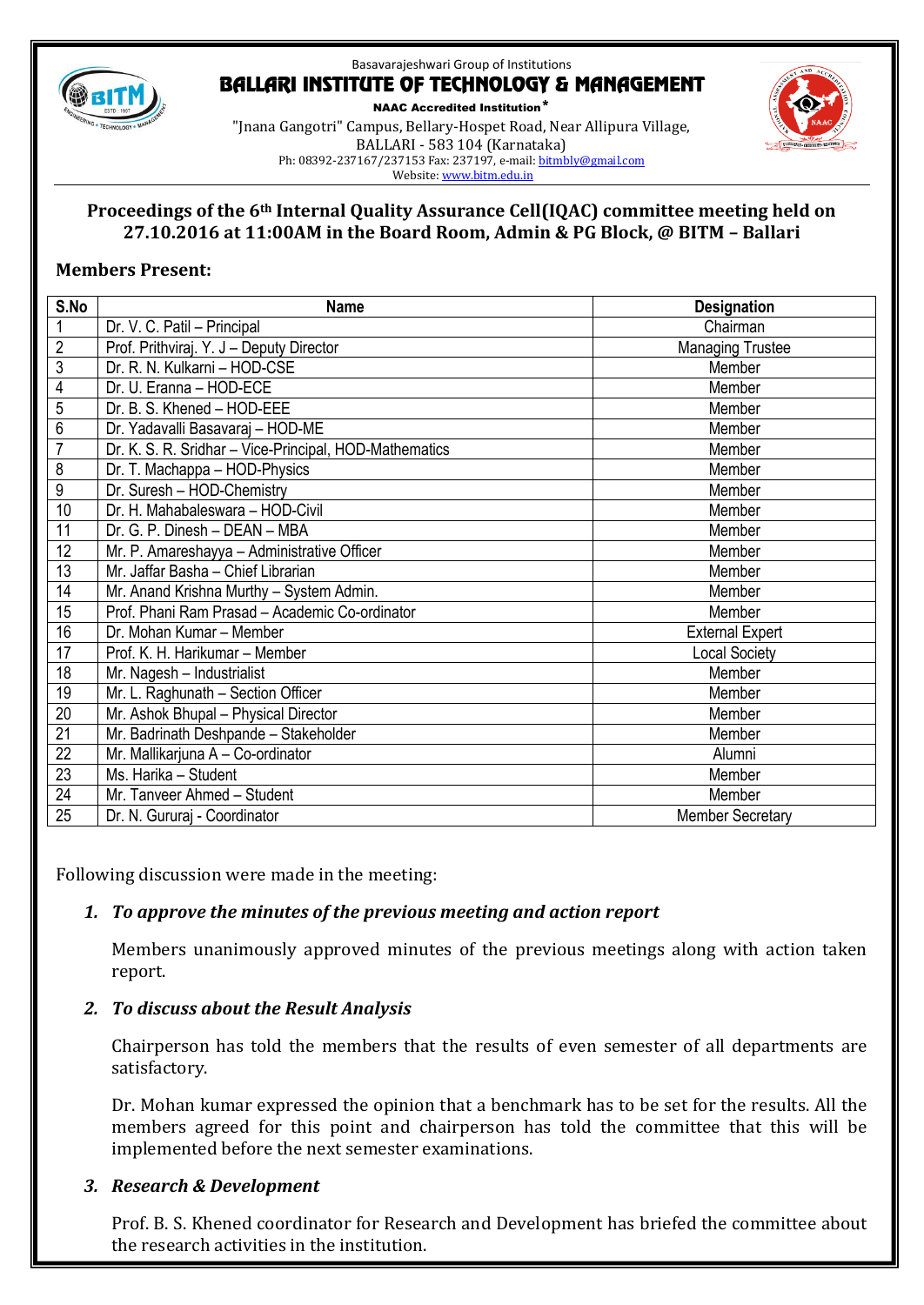

NAAC Accredited Institution\* "Jnana Gangotri" Campus, Bellary-Hospet Road, Near Allipura Village, BALLARI - 583 104 (Karnataka) Ph: 08392-237167/237153 Fax: 237197, e-mail[: bitmbly@gmail.com](mailto:bitmbly@gmail.com) Website[: www.bitm.edu.in](http://www.bec-bellary.com/)



#### **Proceedings of the 6th Internal Quality Assurance Cell(IQAC) committee meeting held on 27.10.2016 at 11:00AM in the Board Room, Admin & PG Block, @ BITM – Ballari**

#### **Members Present:**

| S.No            | <b>Name</b>                                            | <b>Designation</b>      |
|-----------------|--------------------------------------------------------|-------------------------|
| $\mathbf 1$     | Dr. V. C. Patil - Principal                            | Chairman                |
| $\overline{2}$  | Prof. Prithviraj. Y. J - Deputy Director               | <b>Managing Trustee</b> |
| $\overline{3}$  | Dr. R. N. Kulkarni - HOD-CSE                           | Member                  |
| 4               | Dr. U. Eranna - HOD-ECE                                | Member                  |
| 5               | Dr. B. S. Khened - HOD-EEE                             | Member                  |
| $\overline{6}$  | Dr. Yadavalli Basavaraj - HOD-ME                       | Member                  |
| $\overline{7}$  | Dr. K. S. R. Sridhar - Vice-Principal, HOD-Mathematics | Member                  |
| 8               | Dr. T. Machappa - HOD-Physics                          | Member                  |
| 9               | Dr. Suresh - HOD-Chemistry                             | Member                  |
| 10              | Dr. H. Mahabaleswara - HOD-Civil                       | Member                  |
| 11              | Dr. G. P. Dinesh - DEAN - MBA                          | Member                  |
| 12              | Mr. P. Amareshayya - Administrative Officer            | Member                  |
| 13              | Mr. Jaffar Basha - Chief Librarian                     | Member                  |
| 14              | Mr. Anand Krishna Murthy - System Admin.               | Member                  |
| 15              | Prof. Phani Ram Prasad - Academic Co-ordinator         | Member                  |
| 16              | Dr. Mohan Kumar - Member                               | <b>External Expert</b>  |
| 17              | Prof. K. H. Harikumar - Member                         | <b>Local Society</b>    |
| 18              | Mr. Nagesh - Industrialist                             | Member                  |
| 19              | Mr. L. Raghunath - Section Officer                     | Member                  |
| $\overline{20}$ | Mr. Ashok Bhupal - Physical Director                   | Member                  |
| 21              | Mr. Badrinath Deshpande - Stakeholder                  | Member                  |
| 22              | Mr. Mallikarjuna A - Co-ordinator                      | Alumni                  |
| 23              | Ms. Harika - Student                                   | Member                  |
| 24              | Mr. Tanveer Ahmed - Student                            | Member                  |
| 25              | Dr. N. Gururaj - Coordinator                           | <b>Member Secretary</b> |

Following discussion were made in the meeting:

### *1. To approve the minutes of the previous meeting and action report*

Members unanimously approved minutes of the previous meetings along with action taken report.

### *2. To discuss about the Result Analysis*

Chairperson has told the members that the results of even semester of all departments are satisfactory.

Dr. Mohan kumar expressed the opinion that a benchmark has to be set for the results. All the members agreed for this point and chairperson has told the committee that this will be implemented before the next semester examinations.

### *3. Research & Development*

Prof. B. S. Khened coordinator for Research and Development has briefed the committee about the research activities in the institution.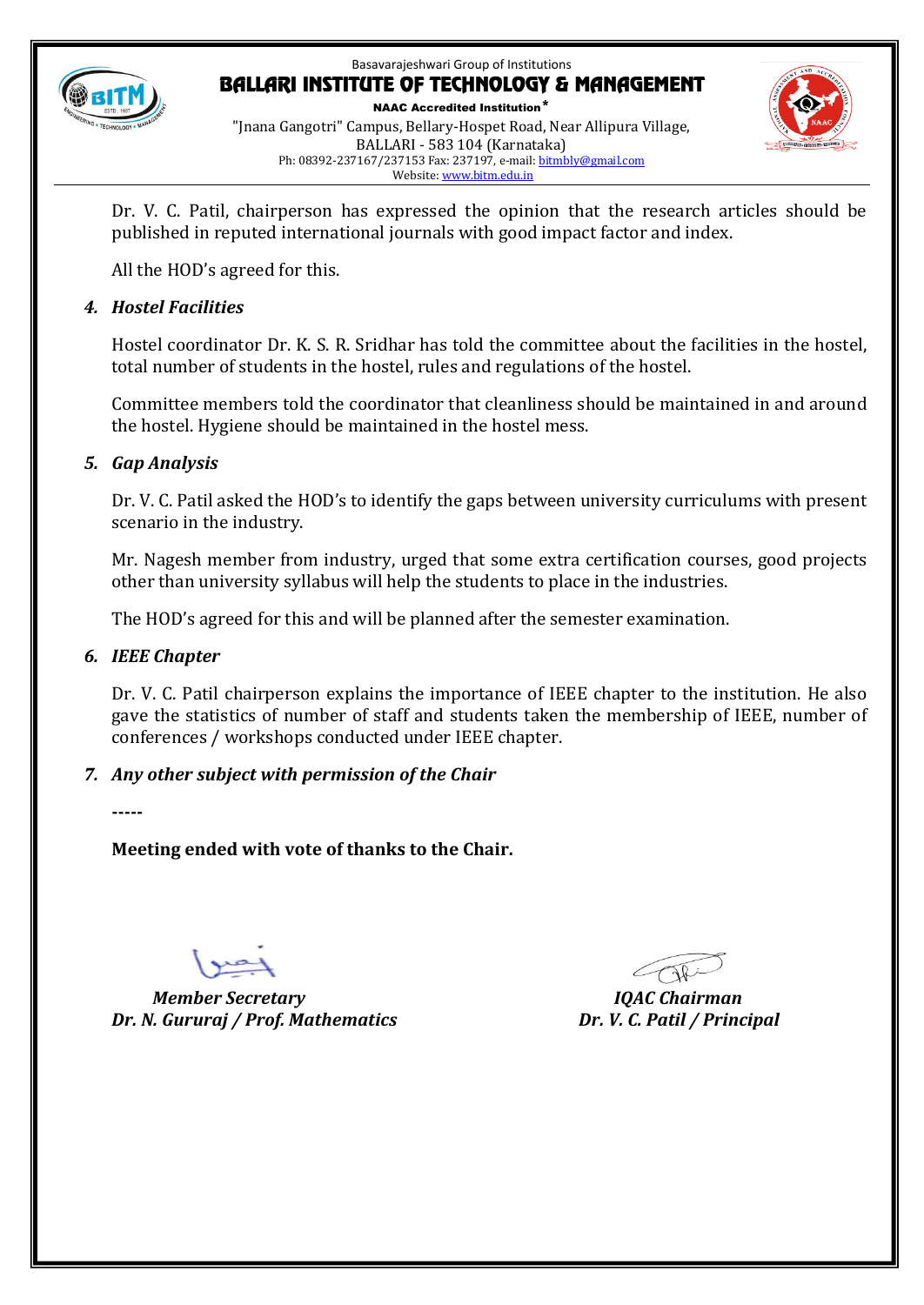

NAAC Accredited Institution\* "Jnana Gangotri" Campus, Bellary-Hospet Road, Near Allipura Village, BALLARI - 583 104 (Karnataka) Ph: 08392-237167/237153 Fax: 237197, e-mail[: bitmbly@gmail.com](mailto:bitmbly@gmail.com) Website[: www.bitm.edu.in](http://www.bec-bellary.com/)



Dr. V. C. Patil, chairperson has expressed the opinion that the research articles should be published in reputed international journals with good impact factor and index.

All the HOD's agreed for this.

#### *4. Hostel Facilities*

Hostel coordinator Dr. K. S. R. Sridhar has told the committee about the facilities in the hostel, total number of students in the hostel, rules and regulations of the hostel.

Committee members told the coordinator that cleanliness should be maintained in and around the hostel. Hygiene should be maintained in the hostel mess.

#### *5. Gap Analysis*

Dr. V. C. Patil asked the HOD's to identify the gaps between university curriculums with present scenario in the industry.

Mr. Nagesh member from industry, urged that some extra certification courses, good projects other than university syllabus will help the students to place in the industries.

The HOD's agreed for this and will be planned after the semester examination.

#### *6. IEEE Chapter*

Dr. V. C. Patil chairperson explains the importance of IEEE chapter to the institution. He also gave the statistics of number of staff and students taken the membership of IEEE, number of conferences / workshops conducted under IEEE chapter.

### *7. Any other subject with permission of the Chair*

**-----**

**Meeting ended with vote of thanks to the Chair.**

 *Member Secretary IQAC Chairman Dr. N. Gururaj / Prof. Mathematics Dr. V. C. Patil / Principal*